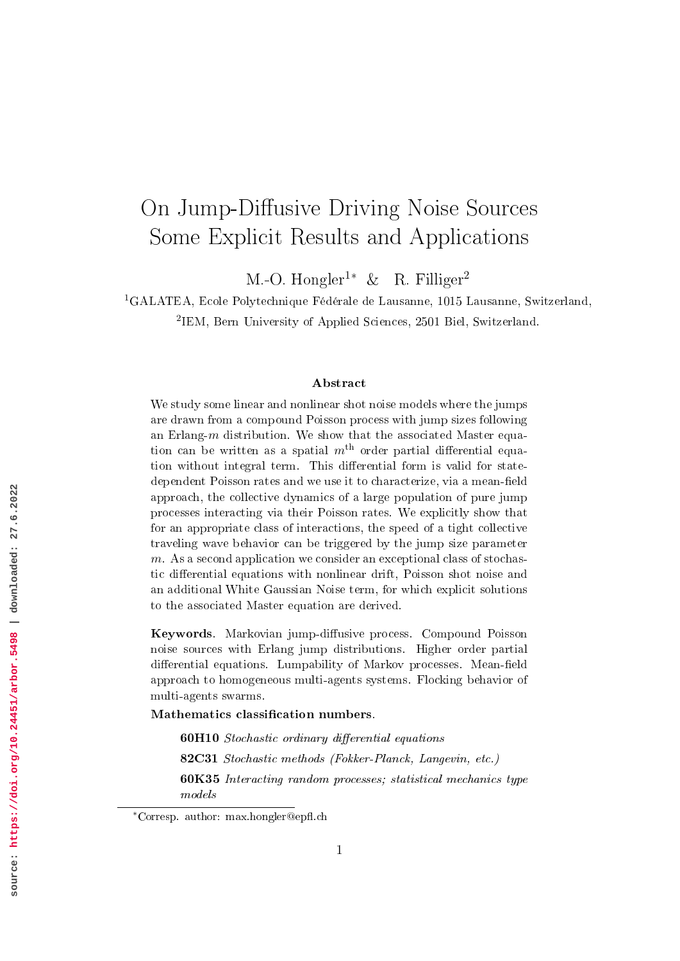# On Jump-Diffusive Driving Noise Sources Some Explicit Results and Applications

M.-O. Hongler<sup>1</sup>*<sup>∗</sup>* & R. Filliger<sup>2</sup>

<sup>1</sup>GALATEA, Ecole Polytechnique Fédérale de Lausanne, 1015 Lausanne, Switzerland,

2 IEM, Bern University of Applied Sciences, 2501 Biel, Switzerland.

#### Abstract

We study some linear and nonlinear shot noise models where the jumps are drawn from a compound Poisson process with jump sizes following an Erlang-*m* distribution. We show that the associated Master equation can be written as a spatial  $m<sup>th</sup>$  order partial differential equation without integral term. This differential form is valid for statedependent Poisson rates and we use it to characterize, via a mean-field approach, the collective dynamics of a large population of pure jump processes interacting via their Poisson rates. We explicitly show that for an appropriate class of interactions, the speed of a tight collective traveling wave behavior can be triggered by the jump size parameter *m*. As a second application we consider an exceptional class of stochastic differential equations with nonlinear drift, Poisson shot noise and an additional White Gaussian Noise term, for which explicit solutions to the associated Master equation are derived.

Keywords. Markovian jump-diffusive process. Compound Poisson noise sources with Erlang jump distributions. Higher order partial differential equations. Lumpability of Markov processes. Mean-field approach to homogeneous multi-agents systems. Flocking behavior of multi-agents swarms.

Mathematics classification numbers.

60H10 Stochastic ordinary differential equations

82C31 Stochastic methods (Fokker-Planck, Langevin, etc.)

60K35 Interacting random processes; statistical mechanics type models

*<sup>\*</sup>*Corresp. author: max.hongler@epfl.ch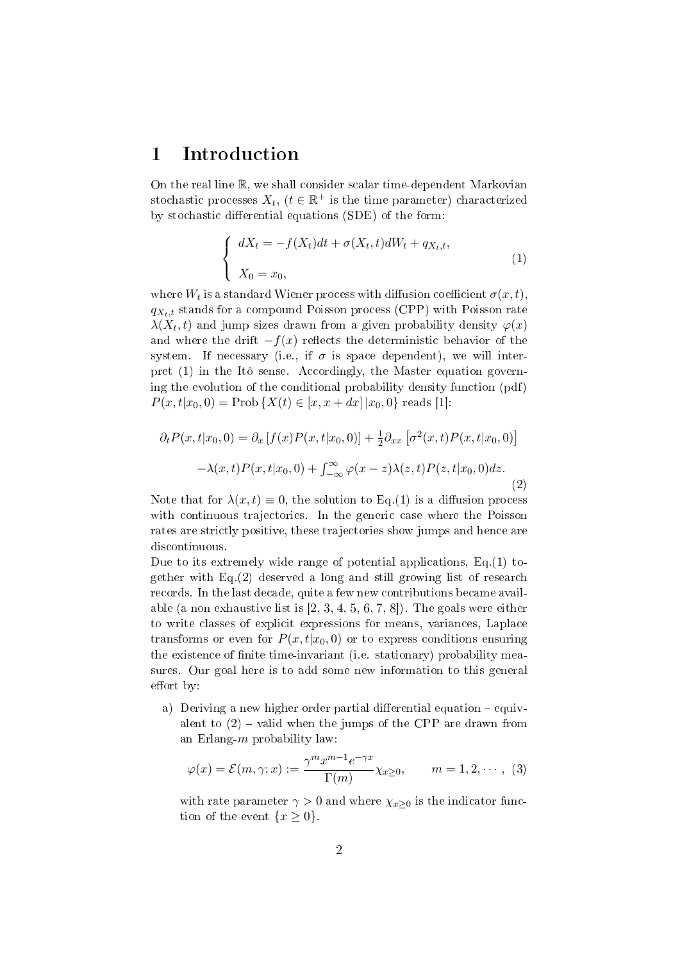### 1 Introduction

On the real line R, we shall consider scalar time-dependent Markovian stochastic processes  $X_t$ ,  $(t \in \mathbb{R}^+$  is the time parameter) characterized by stochastic differential equations (SDE) of the form:

$$
\begin{cases}\n dX_t = -f(X_t)dt + \sigma(X_t, t)dW_t + q_{X_t, t}, \\
 X_0 = x_0,\n\end{cases}
$$
\n(1)

where  $W_t$  is a standard Wiener process with diffusion coefficient  $\sigma(x,t)$ ,  $q_{X_t,t}$  stands for a compound Poisson process (CPP) with Poisson rate  $\lambda(X_t,t)$  and jump sizes drawn from a given probability density  $\varphi(x)$ and where the drift  $-f(x)$  reflects the deterministic behavior of the system. If necessary (i.e., if  $\sigma$  is space dependent), we will interpret (1) in the Itô sense. Accordingly, the Master equation governing the evolution of the conditional probability density function (pdf)  $P(x,t|x_0,0) = \text{Prob}\{X(t) \in [x,x+dx] | x_0,0\}$  reads [1]:

$$
\partial_t P(x, t|x_0, 0) = \partial_x [f(x)P(x, t|x_0, 0)] + \frac{1}{2}\partial_{xx} [\sigma^2(x, t)P(x, t|x_0, 0)]
$$

$$
-\lambda(x, t)P(x, t|x_0, 0) + \int_{-\infty}^{\infty} \varphi(x - z)\lambda(z, t)P(z, t|x_0, 0)dz.
$$
\n(2)

Note that for  $\lambda(x,t) \equiv 0$ , the solution to Eq.(1) is a diffusion process with continuous trajectories. In the generic case where the Poisson rates are strictly positive, these trajectories show jumps and hence are discontinuous.

Due to its extremely wide range of potential applications, Eq.(1) together with Eq.(2) deserved a long and still growing list of research records. In the last decade, quite a few new contributions became available (a non exhaustive list is [2, 3, 4, 5, 6, 7, 8]). The goals were either to write classes of explicit expressions for means, variances, Laplace transforms or even for  $P(x,t|x_0,0)$  or to express conditions ensuring the existence of finite time-invariant (i.e. stationary) probability measures. Our goal here is to add some new information to this general effort by:

a) Deriving a new higher order partial differential equation  $-e$  quivalent to  $(2)$  – valid when the jumps of the CPP are drawn from an Erlang-*m* probability law:

$$
\varphi(x) = \mathcal{E}(m, \gamma; x) := \frac{\gamma^m x^{m-1} e^{-\gamma x}}{\Gamma(m)} \chi_{x \ge 0}, \qquad m = 1, 2, \cdots, (3)
$$

with rate parameter  $\gamma > 0$  and where  $\chi_{x\geq 0}$  is the indicator function of the event  $\{x \geq 0\}$ .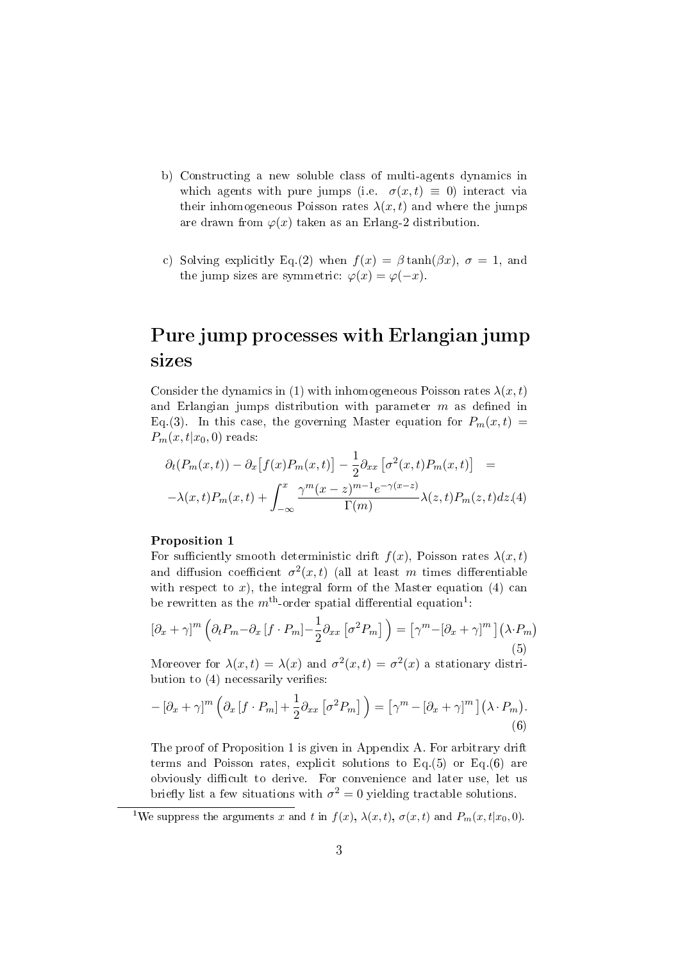- b) Constructing a new soluble class of multi-agents dynamics in which agents with pure jumps (i.e.  $\sigma(x,t) \equiv 0$ ) interact via their inhomogeneous Poisson rates  $\lambda(x, t)$  and where the jumps are drawn from  $\varphi(x)$  taken as an Erlang-2 distribution.
- c) Solving explicitly Eq.(2) when  $f(x) = \beta \tanh(\beta x)$ ,  $\sigma = 1$ , and the jump sizes are symmetric:  $\varphi(x) = \varphi(-x)$ .

## Pure jump processes with Erlangian jump sizes

Consider the dynamics in (1) with inhomogeneous Poisson rates  $\lambda(x, t)$ and Erlangian jumps distribution with parameter  $m$  as defined in Eq.(3). In this case, the governing Master equation for  $P_m(x,t)$  $P_m(x,t|x_0,0)$  reads:

$$
\partial_t(P_m(x,t)) - \partial_x[f(x)P_m(x,t)] - \frac{1}{2}\partial_{xx}\left[\sigma^2(x,t)P_m(x,t)\right] =
$$
  

$$
-\lambda(x,t)P_m(x,t) + \int_{-\infty}^x \frac{\gamma^m(x-z)^{m-1}e^{-\gamma(x-z)}}{\Gamma(m)}\lambda(z,t)P_m(z,t)dz.(4)
$$

### Proposition 1

For sufficiently smooth deterministic drift  $f(x)$ , Poisson rates  $\lambda(x,t)$ and diffusion coefficient  $\sigma^2(x,t)$  (all at least *m* times differentiable with respect to  $x$ ), the integral form of the Master equation (4) can be rewritten as the  $m^{\text{th}}$ -order spatial differential equation<sup>1</sup>:

$$
\left[\partial_x + \gamma\right]^m \left(\partial_t P_m - \partial_x \left[f \cdot P_m\right] - \frac{1}{2} \partial_{xx} \left[\sigma^2 P_m\right]\right) = \left[\gamma^m - \left[\partial_x + \gamma\right]^m\right] \left(\lambda \cdot P_m\right) \tag{5}
$$

Moreover for  $\lambda(x,t) = \lambda(x)$  and  $\sigma^2(x,t) = \sigma^2(x)$  a stationary distribution to  $(4)$  necessarily verifies:

$$
- \left[\partial_x + \gamma\right]^m \left(\partial_x \left[f \cdot P_m\right] + \frac{1}{2} \partial_{xx} \left[\sigma^2 P_m\right]\right) = \left[\gamma^m - \left[\partial_x + \gamma\right]^m\right] \left(\lambda \cdot P_m\right). \tag{6}
$$

The proof of Proposition 1 is given in Appendix A. For arbitrary drift terms and Poisson rates, explicit solutions to Eq.(5) or Eq.(6) are obviously difficult to derive. For convenience and later use, let us briefly list a few situations with  $\sigma^2 = 0$  yielding tractable solutions.

<sup>1</sup>We suppress the arguments *x* and *t* in  $f(x)$ ,  $\lambda(x,t)$ ,  $\sigma(x,t)$  and  $P_m(x,t|x_0,0)$ .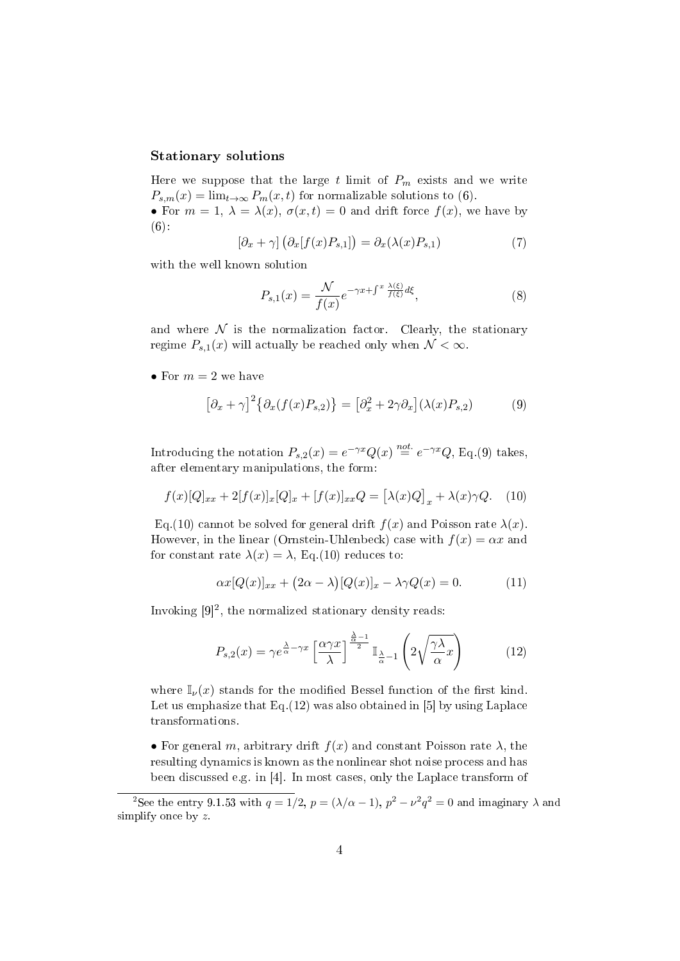### Stationary solutions

Here we suppose that the large  $t$  limit of  $P_m$  exists and we write  $P_{s,m}(x) = \lim_{t \to \infty} P_m(x,t)$  for normalizable solutions to (6).

• For  $m = 1$ ,  $\lambda = \lambda(x)$ ,  $\sigma(x, t) = 0$  and drift force  $f(x)$ , we have by  $(6):$ 

$$
\left[\partial_x + \gamma\right] \left(\partial_x[f(x)P_{s,1}]\right) = \partial_x(\lambda(x)P_{s,1})\tag{7}
$$

with the well known solution

$$
P_{s,1}(x) = \frac{\mathcal{N}}{f(x)} e^{-\gamma x + \int^x \frac{\lambda(\xi)}{f(\xi)} d\xi},\tag{8}
$$

and where  $N$  is the normalization factor. Clearly, the stationary regime  $P_{s,1}(x)$  will actually be reached only when  $\mathcal{N} < \infty$ .

• For  $m=2$  we have

$$
[\partial_x + \gamma]^2 \{ \partial_x (f(x)P_{s,2}) \} = [\partial_x^2 + 2\gamma \partial_x] (\lambda(x)P_{s,2}) \tag{9}
$$

Introducing the notation  $P_{s,2}(x) = e^{-\gamma x} Q(x) \stackrel{not.}{=} e^{-\gamma x} Q$ , Eq.(9) takes, after elementary manipulations, the form:

$$
f(x)[Q]_{xx} + 2[f(x)]_x [Q]_x + [f(x)]_{xx} Q = [\lambda(x)Q]_x + \lambda(x)\gamma Q.
$$
 (10)

Eq.(10) cannot be solved for general drift  $f(x)$  and Poisson rate  $\lambda(x)$ . However, in the linear (Ornstein-Uhlenbeck) case with  $f(x) = \alpha x$  and for constant rate  $\lambda(x) = \lambda$ , Eq.(10) reduces to:

$$
\alpha x [Q(x)]_{xx} + (2\alpha - \lambda) [Q(x)]_x - \lambda \gamma Q(x) = 0. \tag{11}
$$

Invoking  $[9]^2$ , the normalized stationary density reads:

$$
P_{s,2}(x) = \gamma e^{\frac{\lambda}{\alpha} - \gamma x} \left[ \frac{\alpha \gamma x}{\lambda} \right]^{\frac{\lambda}{\alpha} - 1} \mathbb{I}_{\frac{\lambda}{\alpha} - 1} \left( 2 \sqrt{\frac{\gamma \lambda}{\alpha}} x \right) \tag{12}
$$

where  $\mathbb{I}_{\nu}(x)$  stands for the modified Bessel function of the first kind. Let us emphasize that  $Eq.(12)$  was also obtained in [5] by using Laplace transformations.

• For general *m*, arbitrary drift  $f(x)$  and constant Poisson rate  $\lambda$ , the resulting dynamics is known as the nonlinear shot noise process and has been discussed e.g. in [4]. In most cases, only the Laplace transform of

<sup>&</sup>lt;sup>2</sup>See the entry 9.1.53 with  $q = 1/2$ ,  $p = (\lambda/\alpha - 1)$ ,  $p^2 - \nu^2 q^2 = 0$  and imaginary  $\lambda$  and simplify once by *z*.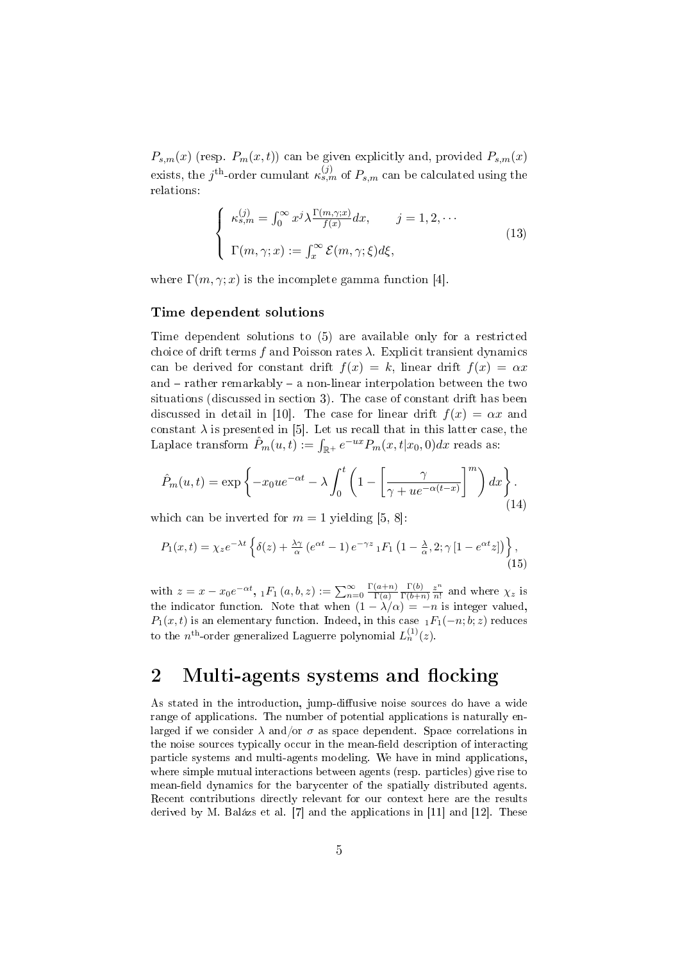$P_{s,m}(x)$  (resp.  $P_m(x,t)$ ) can be given explicitly and, provided  $P_{s,m}(x)$ exists, the  $j^{\text{th}}$ -order cumulant  $\kappa_{s,m}^{(j)}$  of  $P_{s,m}$  can be calculated using the relations:

$$
\begin{cases}\n\kappa_{s,m}^{(j)} = \int_0^\infty x^j \lambda \frac{\Gamma(m,\gamma;x)}{f(x)} dx, & j = 1, 2, \cdots \\
\Gamma(m,\gamma;x) := \int_x^\infty \mathcal{E}(m,\gamma;\xi) d\xi,\n\end{cases}
$$
\n(13)

where  $\Gamma(m, \gamma; x)$  is the incomplete gamma function [4].

#### Time dependent solutions

Time dependent solutions to (5) are available only for a restricted choice of drift terms  $f$  and Poisson rates  $\lambda$ . Explicit transient dynamics can be derived for constant drift  $f(x) = k$ , linear drift  $f(x) = \alpha x$ and  $-$  rather remarkably  $-$  a non-linear interpolation between the two situations (discussed in section 3). The case of constant drift has been discussed in detail in [10]. The case for linear drift  $f(x) = \alpha x$  and constant  $\lambda$  is presented in [5]. Let us recall that in this latter case, the Laplace transform  $\hat{P}_m(u,t) := \int_{\mathbb{R}^+} e^{-ux} P_m(x,t|x_0,0) dx$  reads as:

$$
\hat{P}_m(u,t) = \exp\left\{-x_0ue^{-\alpha t} - \lambda \int_0^t \left(1 - \left[\frac{\gamma}{\gamma + ue^{-\alpha(t-x)}}\right]^m\right)dx\right\}.
$$
\n(14)

which can be inverted for  $m = 1$  yielding [5, 8]:

$$
P_1(x,t) = \chi_z e^{-\lambda t} \left\{ \delta(z) + \frac{\lambda \gamma}{\alpha} \left( e^{\alpha t} - 1 \right) e^{-\gamma z} {}_1F_1 \left( 1 - \frac{\lambda}{\alpha}, 2; \gamma \left[ 1 - e^{\alpha t} z \right] \right) \right\},\tag{15}
$$

with  $z = x - x_0 e^{-\alpha t}$ ,  ${}_1F_1(a, b, z) := \sum_{n=0}^{\infty} \frac{\Gamma(a+n)}{\Gamma(a)}$ Γ(*a*)  $\Gamma(b)$  $\frac{\Gamma(b)}{\Gamma(b+n)} \frac{z^n}{n!}$  $\frac{z^n}{n!}$  and where  $\chi_z$  is the indicator function. Note that when  $(1 - \lambda/\alpha) = -n$  is integer valued,  $P_1(x,t)$  is an elementary function. Indeed, in this case  $_1F_1(-n;b;z)$  reduces to the  $n^{\text{th}}$ -order generalized Laguerre polynomial  $L_n^{(1)}(z)$ .

### 2 Multi-agents systems and flocking

As stated in the introduction, jump-diffusive noise sources do have a wide range of applications. The number of potential applications is naturally enlarged if we consider  $\lambda$  and/or  $\sigma$  as space dependent. Space correlations in the noise sources typically occur in the mean-field description of interacting particle systems and multi-agents modeling. We have in mind applications, where simple mutual interactions between agents (resp. particles) give rise to mean-field dynamics for the barycenter of the spatially distributed agents. Recent contributions directly relevant for our context here are the results derived by M. Balázs et al. [7] and the applications in [11] and [12]. These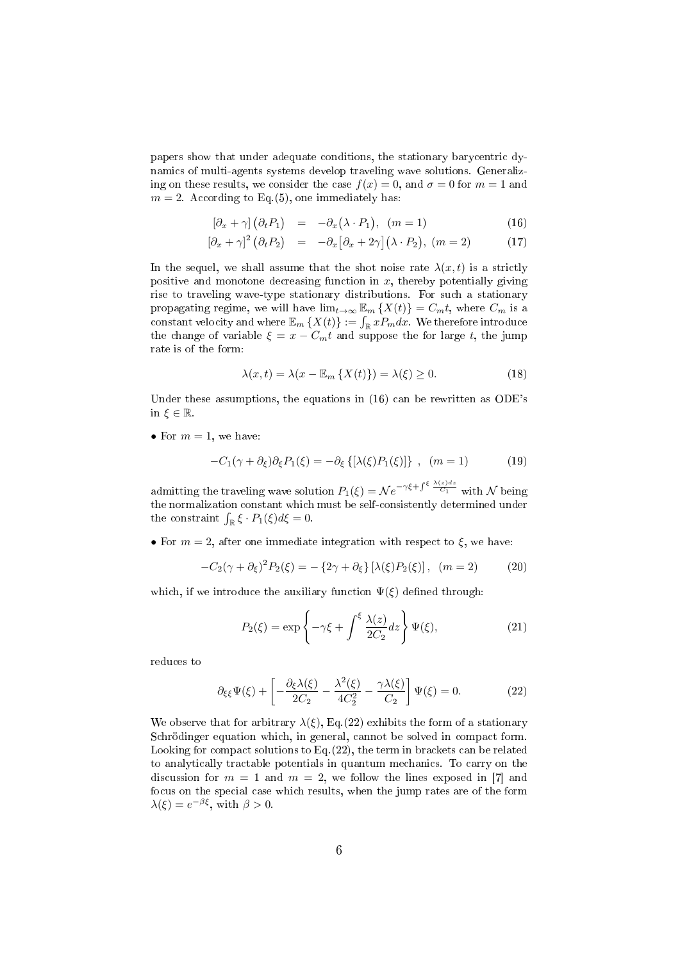papers show that under adequate conditions, the stationary barycentric dynamics of multi-agents systems develop traveling wave solutions. Generalizing on these results, we consider the case  $f(x) = 0$ , and  $\sigma = 0$  for  $m = 1$  and  $m = 2$ . According to Eq.(5), one immediately has:

$$
\left[\partial_x + \gamma\right] \left(\partial_t P_1\right) = -\partial_x \left(\lambda \cdot P_1\right), \quad (m = 1)
$$
\n(16)

$$
\left[\partial_x + \gamma\right]^2 \left(\partial_t P_2\right) = -\partial_x \left[\partial_x + 2\gamma\right] \left(\lambda \cdot P_2\right), \ (m = 2) \tag{17}
$$

In the sequel, we shall assume that the shot noise rate  $\lambda(x, t)$  is a strictly positive and monotone decreasing function in *x*, thereby potentially giving rise to traveling wave-type stationary distributions. For such a stationary propagating regime, we will have  $\lim_{t\to\infty} \mathbb{E}_m \{X(t)\} = C_m t$ , where  $C_m$  is a constant velocity and where  $\mathbb{E}_m \left\{ X(t) \right\} := \int_{\mathbb{R}} x P_m dx$ . We therefore introduce the change of variable  $\xi = x - C_m t$  and suppose the for large *t*, the jump rate is of the form:

$$
\lambda(x,t) = \lambda(x - \mathbb{E}_m \{ X(t) \}) = \lambda(\xi) \ge 0.
$$
\n(18)

Under these assumptions, the equations in (16) can be rewritten as ODE's in  $\xi \in \mathbb{R}$ .

• For  $m = 1$ , we have:

$$
-C_1(\gamma + \partial_{\xi})\partial_{\xi}P_1(\xi) = -\partial_{\xi}\left\{[\lambda(\xi)P_1(\xi)]\right\}, (m = 1)
$$
 (19)

admitting the traveling wave solution  $P_1(\xi) = \mathcal{N}e^{-\gamma\xi + \int^{\xi} \frac{\lambda(z)dz}{C_1}}$  with  $\mathcal N$  being the normalization constant which must be self-consistently determined under the constraint  $\int_{\mathbb{R}} \xi \cdot P_1(\xi) d\xi = 0$ .

• For  $m = 2$ , after one immediate integration with respect to  $\xi$ , we have:

$$
-C_2(\gamma + \partial_{\xi})^2 P_2(\xi) = -\{2\gamma + \partial_{\xi}\} [\lambda(\xi) P_2(\xi)], \ (m = 2)
$$
 (20)

which, if we introduce the auxiliary function  $\Psi(\xi)$  defined through:

$$
P_2(\xi) = \exp\left\{-\gamma \xi + \int^{\xi} \frac{\lambda(z)}{2C_2} dz\right\} \Psi(\xi),\tag{21}
$$

reduces to

$$
\partial_{\xi\xi}\Psi(\xi) + \left[ -\frac{\partial_{\xi}\lambda(\xi)}{2C_2} - \frac{\lambda^2(\xi)}{4C_2^2} - \frac{\gamma\lambda(\xi)}{C_2} \right] \Psi(\xi) = 0.
$$
 (22)

We observe that for arbitrary  $\lambda(\xi)$ , Eq.(22) exhibits the form of a stationary Schrödinger equation which, in general, cannot be solved in compact form. Looking for compact solutions to Eq.(22), the term in brackets can be related to analytically tractable potentials in quantum mechanics. To carry on the discussion for  $m = 1$  and  $m = 2$ , we follow the lines exposed in [7] and focus on the special case which results, when the jump rates are of the form  $\lambda(\xi) = e^{-\beta\xi}$ , with  $\beta > 0$ .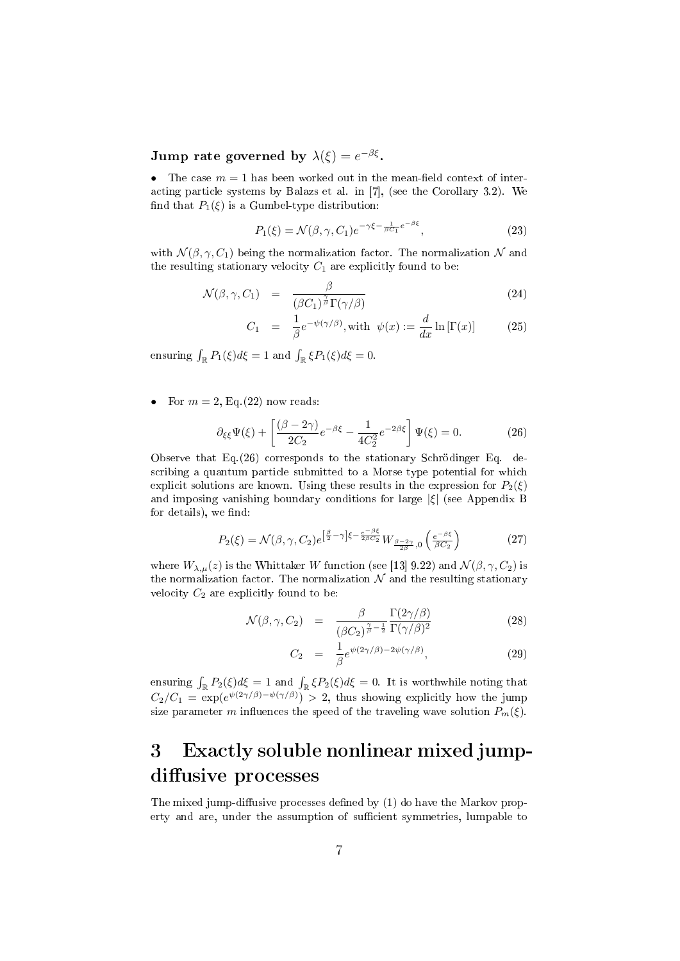Jump rate governed by  $\lambda(\xi) = e^{-\beta \xi}$ .

• The case  $m = 1$  has been worked out in the mean-field context of interacting particle systems by Balazs et al. in [7], (see the Corollary 3.2). We find that  $P_1(\xi)$  is a Gumbel-type distribution:

$$
P_1(\xi) = \mathcal{N}(\beta, \gamma, C_1) e^{-\gamma \xi - \frac{1}{\beta C_1} e^{-\beta \xi}}, \qquad (23)
$$

with  $\mathcal{N}(\beta, \gamma, C_1)$  being the normalization factor. The normalization  $\mathcal N$  and the resulting stationary velocity  $C_1$  are explicitly found to be:

$$
\mathcal{N}(\beta, \gamma, C_1) = \frac{\beta}{(\beta C_1)^{\frac{\gamma}{\beta}} \Gamma(\gamma/\beta)}
$$
\n(24)

$$
C_1 = \frac{1}{\beta} e^{-\psi(\gamma/\beta)}, \text{with } \psi(x) := \frac{d}{dx} \ln[\Gamma(x)] \tag{25}
$$

ensuring  $\int_{\mathbb{R}} P_1(\xi) d\xi = 1$  and  $\int_{\mathbb{R}} \xi P_1(\xi) d\xi = 0$ .

• For  $m = 2$ , Eq. (22) now reads:

$$
\partial_{\xi\xi}\Psi(\xi) + \left[\frac{(\beta - 2\gamma)}{2C_2}e^{-\beta\xi} - \frac{1}{4C_2^2}e^{-2\beta\xi}\right]\Psi(\xi) = 0.
$$
 (26)

Observe that Eq.(26) corresponds to the stationary Schrödinger Eq. describing a quantum particle submitted to a Morse type potential for which explicit solutions are known. Using these results in the expression for  $P_2(\xi)$ and imposing vanishing boundary conditions for large *|ξ|* (see Appendix B for details), we find:

$$
P_2(\xi) = \mathcal{N}(\beta, \gamma, C_2) e^{\left[\frac{\beta}{2} - \gamma\right] \xi - \frac{e^{-\beta \xi}}{2\beta C_2}} W_{\frac{\beta - 2\gamma}{2\beta}, 0} \left(\frac{e^{-\beta \xi}}{\beta C_2}\right)
$$
(27)

where  $W_{\lambda,\mu}(z)$  is the Whittaker *W* function (see [13] 9.22) and  $\mathcal{N}(\beta,\gamma,C_2)$  is the normalization factor. The normalization  $N$  and the resulting stationary velocity  $C_2$  are explicitly found to be:

$$
\mathcal{N}(\beta, \gamma, C_2) = \frac{\beta}{(\beta C_2)^{\frac{\gamma}{\beta} - \frac{1}{2}}} \frac{\Gamma(2\gamma/\beta)}{\Gamma(\gamma/\beta)^2}
$$
(28)

$$
C_2 = \frac{1}{\beta} e^{\psi(2\gamma/\beta) - 2\psi(\gamma/\beta)}, \qquad (29)
$$

ensuring  $\int_{\mathbb{R}} P_2(\xi) d\xi = 1$  and  $\int_{\mathbb{R}} \xi P_2(\xi) d\xi = 0$ . It is worthwhile noting that  $C_2/C_1 = \exp(e^{\psi(2\gamma/\beta)-\psi(\gamma/\beta)}) > 2$ , thus showing explicitly how the jump size parameter *m* influences the speed of the traveling wave solution  $P_m(\xi)$ .

## 3 Exactly soluble nonlinear mixed jumpdiffusive processes

The mixed jump-diffusive processes defined by  $(1)$  do have the Markov property and are, under the assumption of sufficient symmetries, lumpable to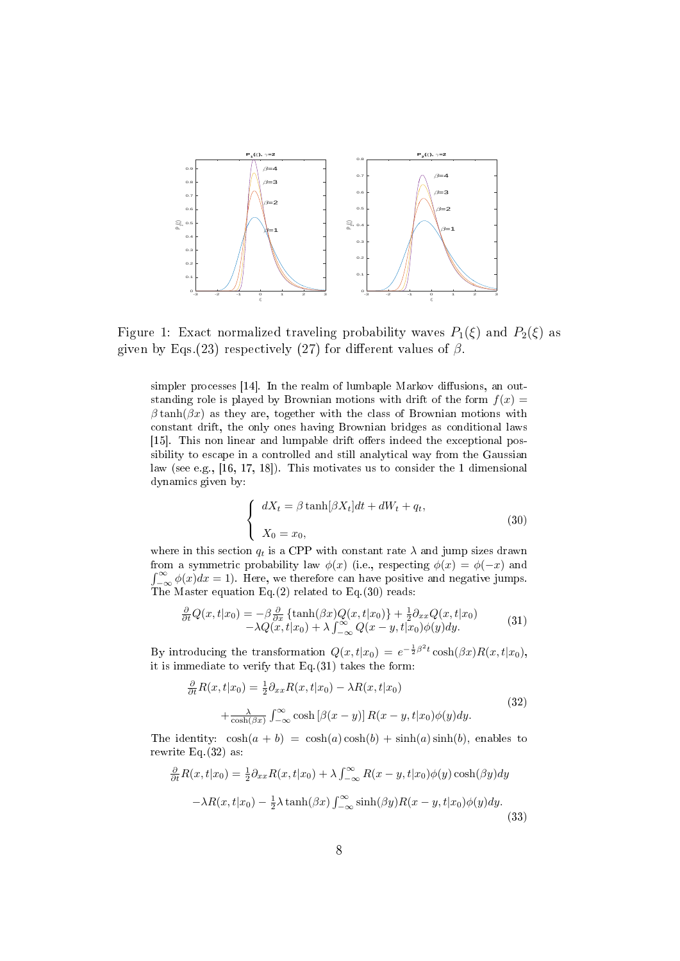

Figure 1: Exact normalized traveling probability waves  $P_1(\xi)$  and  $P_2(\xi)$  as given by Eqs.(23) respectively (27) for different values of  $\beta$ .

simpler processes  $[14]$ . In the realm of lumbaple Markov diffusions, an outstanding role is played by Brownian motions with drift of the form  $f(x) =$  $\beta \tanh(\beta x)$  as they are, together with the class of Brownian motions with constant drift, the only ones having Brownian bridges as conditional laws [15]. This non linear and lumpable drift offers indeed the exceptional possibility to escape in a controlled and still analytical way from the Gaussian law (see e.g., [16, 17, 18]). This motivates us to consider the 1 dimensional dynamics given by:

$$
\begin{cases}\n dX_t = \beta \tanh[\beta X_t]dt + dW_t + q_t, \\
 X_0 = x_0,\n\end{cases}
$$
\n(30)

where in this section  $q_t$  is a CPP with constant rate  $\lambda$  and jump sizes drawn from a symmetric probability law  $\phi(x)$  (i.e., respecting  $\phi(x) = \phi(-x)$  and  $\int_{-\infty}^{\infty} \phi(x) dx = 1$ . Here, we therefore can have positive and negative jumps. The Master equation Eq. (2) related to Eq. (30) reads:

$$
\frac{\partial}{\partial t}Q(x,t|x_0) = -\beta \frac{\partial}{\partial x} \left\{ \tanh(\beta x)Q(x,t|x_0) \right\} + \frac{1}{2}\partial_{xx}Q(x,t|x_0) \n- \lambda Q(x,t|x_0) + \lambda \int_{-\infty}^{\infty} Q(x-y,t|x_0)\phi(y)dy.
$$
\n(31)

By introducing the transformation  $Q(x, t|x_0) = e^{-\frac{1}{2}\beta^2 t} \cosh(\beta x) R(x, t|x_0)$ , it is immediate to verify that Eq.(31) takes the form:

$$
\frac{\partial}{\partial t} R(x, t|x_0) = \frac{1}{2} \partial_{xx} R(x, t|x_0) - \lambda R(x, t|x_0) \n+ \frac{\lambda}{\cosh(\beta x)} \int_{-\infty}^{\infty} \cosh[\beta(x - y)] R(x - y, t|x_0) \phi(y) dy.
$$
\n(32)

The identity:  $\cosh(a + b) = \cosh(a)\cosh(b) + \sinh(a)\sinh(b)$ , enables to rewrite Eq.(32) as:

$$
\frac{\partial}{\partial t}R(x,t|x_0) = \frac{1}{2}\partial_{xx}R(x,t|x_0) + \lambda \int_{-\infty}^{\infty} R(x-y,t|x_0)\phi(y)\cosh(\beta y)dy
$$

$$
-\lambda R(x,t|x_0) - \frac{1}{2}\lambda \tanh(\beta x) \int_{-\infty}^{\infty} \sinh(\beta y)R(x-y,t|x_0)\phi(y)dy.
$$
(33)

∫ *<sup>∞</sup>*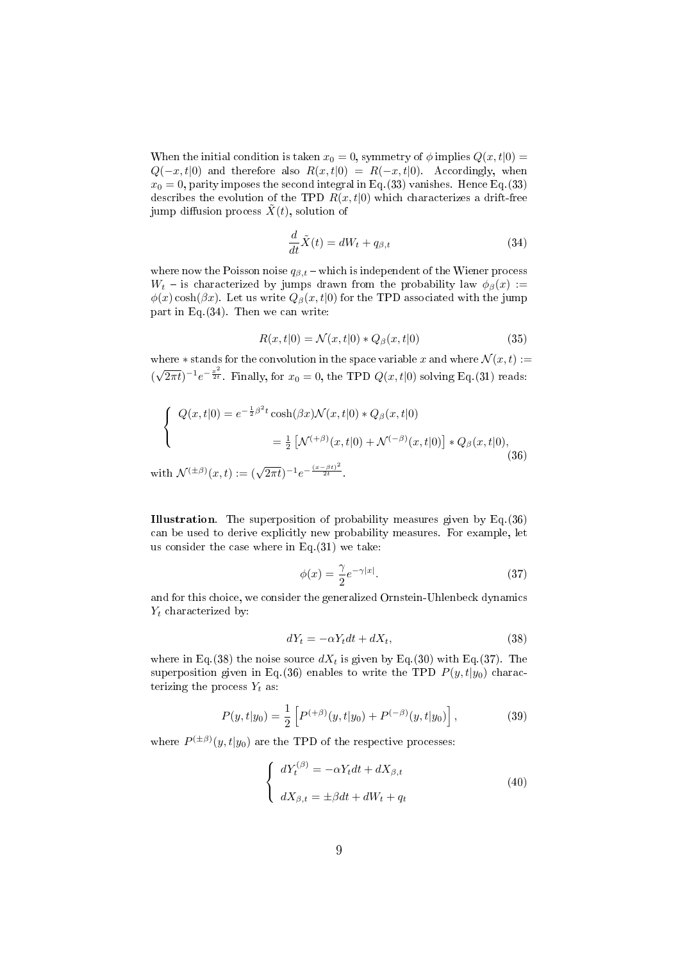When the initial condition is taken  $x_0 = 0$ , symmetry of  $\phi$  implies  $Q(x, t|0) =$  $Q(-x,t|0)$  and therefore also  $R(x,t|0) = R(-x,t|0)$ . Accordingly, when  $x_0 = 0$ , parity imposes the second integral in Eq.(33) vanishes. Hence Eq.(33) describes the evolution of the TPD  $R(x,t|0)$  which characterizes a drift-free jump diffusion process  $\tilde{X}(t)$ , solution of

$$
\frac{d}{dt}\tilde{X}(t) = dW_t + q_{\beta,t} \tag{34}
$$

where now the Poisson noise  $q_{\beta,t}$  – which is independent of the Wiener process *W*<sub>t</sub> – is characterized by jumps drawn from the probability law  $\phi_{\beta}(x)$  :=  $\phi(x)$  cosh( $\beta x$ ). Let us write  $Q_{\beta}(x, t|0)$  for the TPD associated with the jump part in Eq.(34). Then we can write:

$$
R(x,t|0) = \mathcal{N}(x,t|0) * Q_{\beta}(x,t|0)
$$
\n(35)

where  $*$  stands for the convolution in the space variable *x* and where  $\mathcal{N}(x,t) :=$  $(\sqrt{2\pi t})^{-1}e^{-\frac{x^2}{2t}}$ . Finally, for  $x_0 = 0$ , the TPD  $Q(x, t|0)$  solving Eq.(31) reads:

$$
\begin{cases}\nQ(x,t|0) = e^{-\frac{1}{2}\beta^2 t} \cosh(\beta x) \mathcal{N}(x,t|0) * Q_{\beta}(x,t|0) \\
= \frac{1}{2} \left[ \mathcal{N}^{(+\beta)}(x,t|0) + \mathcal{N}^{(-\beta)}(x,t|0) \right] * Q_{\beta}(x,t|0), \\
\text{with } \mathcal{N}^{(\pm\beta)}(x,t) := (\sqrt{2\pi t})^{-1} e^{-\frac{(x-\beta t)^2}{2t}}.\n\end{cases}
$$
\n(36)

Illustration. The superposition of probability measures given by Eq.(36) can be used to derive explicitly new probability measures. For example, let us consider the case where in Eq.(31) we take:

$$
\phi(x) = \frac{\gamma}{2} e^{-\gamma|x|}.\tag{37}
$$

and for this choice, we consider the generalized Ornstein-Uhlenbeck dynamics *Y<sup>t</sup>* characterized by:

$$
dY_t = -\alpha Y_t dt + dX_t, \qquad (38)
$$

where in Eq.(38) the noise source  $dX_t$  is given by Eq.(30) with Eq.(37). The superposition given in Eq.(36) enables to write the TPD  $P(y, t|y_0)$  characterizing the process  $Y_t$  as:

$$
P(y,t|y_0) = \frac{1}{2} \left[ P^{(+\beta)}(y,t|y_0) + P^{(-\beta)}(y,t|y_0) \right],
$$
 (39)

where  $P^{(\pm\beta)}(y,t|y_0)$  are the TPD of the respective processes:

$$
\begin{cases}\ndY_t^{(\beta)} = -\alpha Y_t dt + dX_{\beta,t} \\
dX_{\beta,t} = \pm \beta dt + dW_t + q_t\n\end{cases}
$$
\n(40)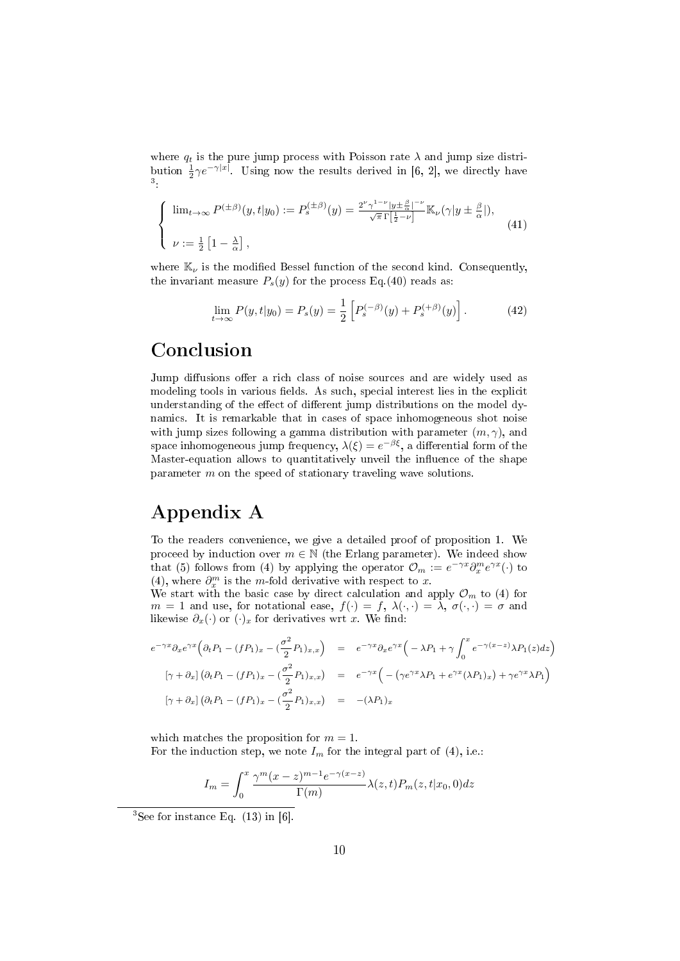where  $q_t$  is the pure jump process with Poisson rate  $\lambda$  and jump size distribution  $\frac{1}{2}\gamma e^{-\gamma|x|}$ . Using now the results derived in [6, 2], we directly have 3 :

$$
\begin{cases} \n\lim_{t \to \infty} P^{(\pm \beta)}(y, t | y_0) := P_s^{(\pm \beta)}(y) = \frac{2^{\nu} \gamma^{1-\nu} |y \pm \frac{\beta}{\alpha}|^{-\nu}}{\sqrt{\pi} \Gamma[\frac{1}{2} - \nu]} \mathbb{K}_{\nu}(\gamma | y \pm \frac{\beta}{\alpha}|), \\
\nu := \frac{1}{2} \left[ 1 - \frac{\lambda}{\alpha} \right], \n\end{cases} \tag{41}
$$

where  $\mathbb{K}_{\nu}$  is the modified Bessel function of the second kind. Consequently, the invariant measure  $P_s(y)$  for the process Eq.(40) reads as:

$$
\lim_{t \to \infty} P(y, t | y_0) = P_s(y) = \frac{1}{2} \left[ P_s^{(-\beta)}(y) + P_s^{(+\beta)}(y) \right]. \tag{42}
$$

## Conclusion

Jump diffusions offer a rich class of noise sources and are widely used as modeling tools in various fields. As such, special interest lies in the explicit understanding of the effect of different jump distributions on the model dynamics. It is remarkable that in cases of space inhomogeneous shot noise with jump sizes following a gamma distribution with parameter (*m, γ*), and space inhomogeneous jump frequency,  $\lambda(\xi) = e^{-\beta \xi}$ , a differential form of the Master-equation allows to quantitatively unveil the influence of the shape parameter *m* on the speed of stationary traveling wave solutions.

## Appendix A

To the readers convenience, we give a detailed proof of proposition 1. We proceed by induction over  $m \in \mathbb{N}$  (the Erlang parameter). We indeed show that (5) follows from (4) by applying the operator  $\mathcal{O}_m := e^{-\gamma x} \partial_x^m e^{\gamma x}(\cdot)$  to (4), where  $\partial_x^m$  is the *m*-fold derivative with respect to *x*.

We start with the basic case by direct calculation and apply  $\mathcal{O}_m$  to (4) for *m* = 1 and use, for notational ease,  $f(\cdot) = f$ ,  $\lambda(\cdot, \cdot) = \lambda$ ,  $\sigma(\cdot, \cdot) = \sigma$  and likewise  $\partial_x(\cdot)$  or  $(\cdot)_x$  for derivatives wrt *x*. We find:

$$
e^{-\gamma x} \partial_x e^{\gamma x} \Big( \partial_t P_1 - (fP_1)_x - \left( \frac{\sigma^2}{2} P_1 \right)_{x,x} \Big) = e^{-\gamma x} \partial_x e^{\gamma x} \Big( -\lambda P_1 + \gamma \int_0^x e^{-\gamma (x-z)} \lambda P_1(z) dz \Big)
$$
  

$$
[\gamma + \partial_x] \Big( \partial_t P_1 - (fP_1)_x - \left( \frac{\sigma^2}{2} P_1 \right)_{x,x} \Big) = e^{-\gamma x} \Big( -\Big( \gamma e^{\gamma x} \lambda P_1 + e^{\gamma x} (\lambda P_1)_x \Big) + \gamma e^{\gamma x} \lambda P_1 \Big)
$$
  

$$
[\gamma + \partial_x] \Big( \partial_t P_1 - (fP_1)_x - \left( \frac{\sigma^2}{2} P_1 \right)_{x,x} \Big) = -(\lambda P_1)_x
$$

which matches the proposition for  $m = 1$ . For the induction step, we note  $I_m$  for the integral part of (4), i.e.:

$$
I_m = \int_0^x \frac{\gamma^m (x - z)^{m-1} e^{-\gamma (x - z)}}{\Gamma(m)} \lambda(z, t) P_m(z, t | x_0, 0) dz
$$

<sup>&</sup>lt;sup>3</sup>See for instance Eq.  $(13)$  in [6].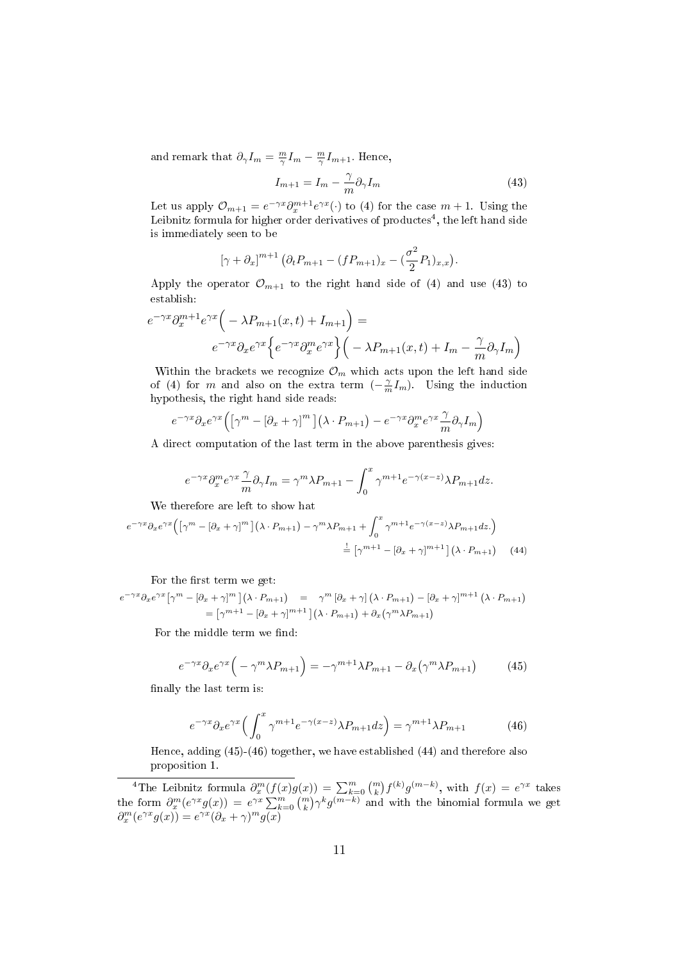and remark that  $\partial_{\gamma}I_m = \frac{m}{\gamma}I_m - \frac{m}{\gamma}I_{m+1}$ . Hence,

$$
I_{m+1} = I_m - \frac{\gamma}{m} \partial_\gamma I_m \tag{43}
$$

Let us apply  $\mathcal{O}_{m+1} = e^{-\gamma x} \partial_x^{m+1} e^{\gamma x} (\cdot)$  to (4) for the case  $m+1$ . Using the Leibnitz formula for higher order derivatives of productes<sup>4</sup>, the left hand side is immediately seen to be

$$
[\gamma + \partial_x]^{m+1} \left( \partial_t P_{m+1} - (f P_{m+1})_x - \left( \frac{\sigma^2}{2} P_1 \right)_{x,x} \right).
$$

Apply the operator  $\mathcal{O}_{m+1}$  to the right hand side of (4) and use (43) to establish:

$$
e^{-\gamma x} \partial_x^{m+1} e^{\gamma x} \Big( -\lambda P_{m+1}(x,t) + I_{m+1} \Big) =
$$
  

$$
e^{-\gamma x} \partial_x e^{\gamma x} \Big\{ e^{-\gamma x} \partial_x^m e^{\gamma x} \Big\} \Big( -\lambda P_{m+1}(x,t) + I_m - \frac{\gamma}{m} \partial_\gamma I_m \Big)
$$

Within the brackets we recognize  $\mathcal{O}_m$  which acts upon the left hand side of (4) for *m* and also on the extra term  $(-\frac{\gamma}{m}I_m)$ . Using the induction hypothesis, the right hand side reads:

$$
e^{-\gamma x}\partial_x e^{\gamma x}\Big(\big[\gamma^m - \left[\partial_x + \gamma\right]^m\big]\big(\lambda \cdot P_{m+1}\big) - e^{-\gamma x}\partial_x^m e^{\gamma x} \frac{\gamma}{m} \partial_\gamma I_m\Big)
$$

A direct computation of the last term in the above parenthesis gives:

$$
e^{-\gamma x} \partial_x^m e^{\gamma x} \frac{\gamma}{m} \partial_\gamma I_m = \gamma^m \lambda P_{m+1} - \int_0^x \gamma^{m+1} e^{-\gamma (x-z)} \lambda P_{m+1} dz.
$$

We therefore are left to show hat

$$
e^{-\gamma x} \partial_x e^{\gamma x} \left( \left[ \gamma^m - [\partial_x + \gamma]^m \right] \left( \lambda \cdot P_{m+1} \right) - \gamma^m \lambda P_{m+1} + \int_0^x \gamma^{m+1} e^{-\gamma (x-z)} \lambda P_{m+1} dz. \right)
$$
  

$$
\stackrel{!}{=} \left[ \gamma^{m+1} - [\partial_x + \gamma]^{m+1} \right] \left( \lambda \cdot P_{m+1} \right) \tag{44}
$$

For the first term we get:

*e*

$$
e^{-\gamma x} \partial_x e^{\gamma x} \left[ \gamma^m - \left[ \partial_x + \gamma \right]^m \right] \left( \lambda \cdot P_{m+1} \right) = \gamma^m \left[ \partial_x + \gamma \right] \left( \lambda \cdot P_{m+1} \right) - \left[ \partial_x + \gamma \right]^{m+1} \left( \lambda \cdot P_{m+1} \right)
$$

$$
= \left[ \gamma^{m+1} - \left[ \partial_x + \gamma \right]^{m+1} \right] \left( \lambda \cdot P_{m+1} \right) + \partial_x \left( \gamma^m \lambda P_{m+1} \right)
$$

For the middle term we find:

$$
e^{-\gamma x} \partial_x e^{\gamma x} \left( -\gamma^m \lambda P_{m+1} \right) = -\gamma^{m+1} \lambda P_{m+1} - \partial_x \left( \gamma^m \lambda P_{m+1} \right) \tag{45}
$$

finally the last term is:

$$
e^{-\gamma x} \partial_x e^{\gamma x} \left( \int_0^x \gamma^{m+1} e^{-\gamma (x-z)} \lambda P_{m+1} dz \right) = \gamma^{m+1} \lambda P_{m+1} \tag{46}
$$

Hence, adding (45)-(46) together, we have established (44) and therefore also proposition 1.

<sup>&</sup>lt;sup>4</sup>The Leibnitz formula  $\partial_x^m(f(x)g(x)) = \sum_{k=0}^m {m \choose k} f^{(k)}g^{(m-k)}$ , with  $f(x) = e^{\gamma x}$  takes the form  $\partial_x^m(e^{\gamma x}g(x)) = e^{\gamma x}\sum_{k=0}^m {m \choose k} \gamma^k g^{(m-k)}$  and with the binomial formula we get  $\partial_x^m(e^{\gamma x}g(x)) = e^{\gamma x}(\partial_x + \gamma)^m g(x)$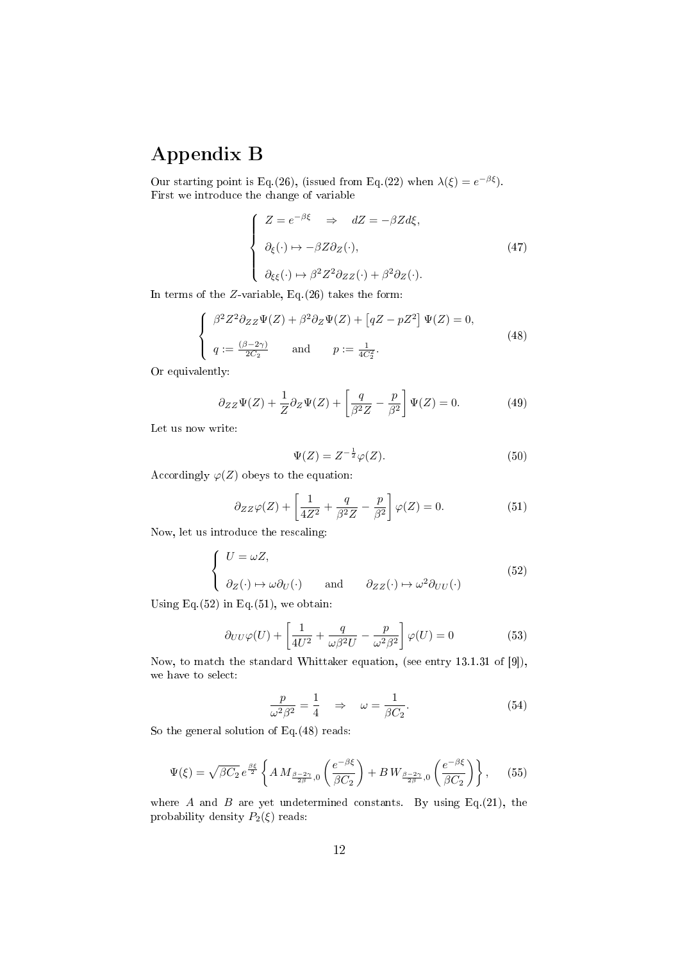## Appendix B

Our starting point is Eq.(26), (issued from Eq.(22) when  $\lambda(\xi) = e^{-\beta \xi}$ ). First we introduce the change of variable

$$
\begin{cases}\nZ = e^{-\beta \xi} \Rightarrow dZ = -\beta Z d\xi, \\
\partial_{\xi}(\cdot) \mapsto -\beta Z \partial_{Z}(\cdot), \\
\partial_{\xi\xi}(\cdot) \mapsto \beta^2 Z^2 \partial_{ZZ}(\cdot) + \beta^2 \partial_{Z}(\cdot).\n\end{cases} (47)
$$

In terms of the *Z*-variable, Eq.(26) takes the form:

$$
\begin{cases}\n\beta^2 Z^2 \partial_{ZZ} \Psi(Z) + \beta^2 \partial_Z \Psi(Z) + \left[ qZ - pZ^2 \right] \Psi(Z) = 0, \\
q := \frac{(\beta - 2\gamma)}{2C_2} \quad \text{and} \quad p := \frac{1}{4C_2^2}.\n\end{cases}
$$
\n(48)

Or equivalently:

$$
\partial_{ZZ}\Psi(Z) + \frac{1}{Z}\partial_Z\Psi(Z) + \left[\frac{q}{\beta^2 Z} - \frac{p}{\beta^2}\right]\Psi(Z) = 0.
$$
 (49)

Let us now write:

$$
\Psi(Z) = Z^{-\frac{1}{2}}\varphi(Z). \tag{50}
$$

Accordingly  $\varphi(Z)$  obeys to the equation:

$$
\partial_{ZZ}\varphi(Z) + \left[\frac{1}{4Z^2} + \frac{q}{\beta^2 Z} - \frac{p}{\beta^2}\right]\varphi(Z) = 0.
$$
 (51)

Now, let us introduce the rescaling:

$$
\begin{cases}\nU = \omega Z, \\
\partial_Z(\cdot) \mapsto \omega \partial_U(\cdot) \quad \text{and} \quad \partial_{ZZ}(\cdot) \mapsto \omega^2 \partial_{UU}(\cdot)\n\end{cases}
$$
\n(52)

Using Eq. $(52)$  in Eq. $(51)$ , we obtain:

$$
\partial_{UU}\varphi(U) + \left[\frac{1}{4U^2} + \frac{q}{\omega\beta^2U} - \frac{p}{\omega^2\beta^2}\right]\varphi(U) = 0 \tag{53}
$$

Now, to match the standard Whittaker equation, (see entry 13.1.31 of [9]), we have to select:

$$
\frac{p}{\omega^2 \beta^2} = \frac{1}{4} \quad \Rightarrow \quad \omega = \frac{1}{\beta C_2}.\tag{54}
$$

So the general solution of Eq.(48) reads:

$$
\Psi(\xi) = \sqrt{\beta C_2} e^{\frac{\beta \xi}{2}} \left\{ A M_{\frac{\beta - 2\gamma}{2\beta},0} \left( \frac{e^{-\beta \xi}}{\beta C_2} \right) + B W_{\frac{\beta - 2\gamma}{2\beta},0} \left( \frac{e^{-\beta \xi}}{\beta C_2} \right) \right\}, \quad (55)
$$

where *A* and *B* are yet undetermined constants. By using Eq.(21), the probability density  $P_2(\xi)$  reads: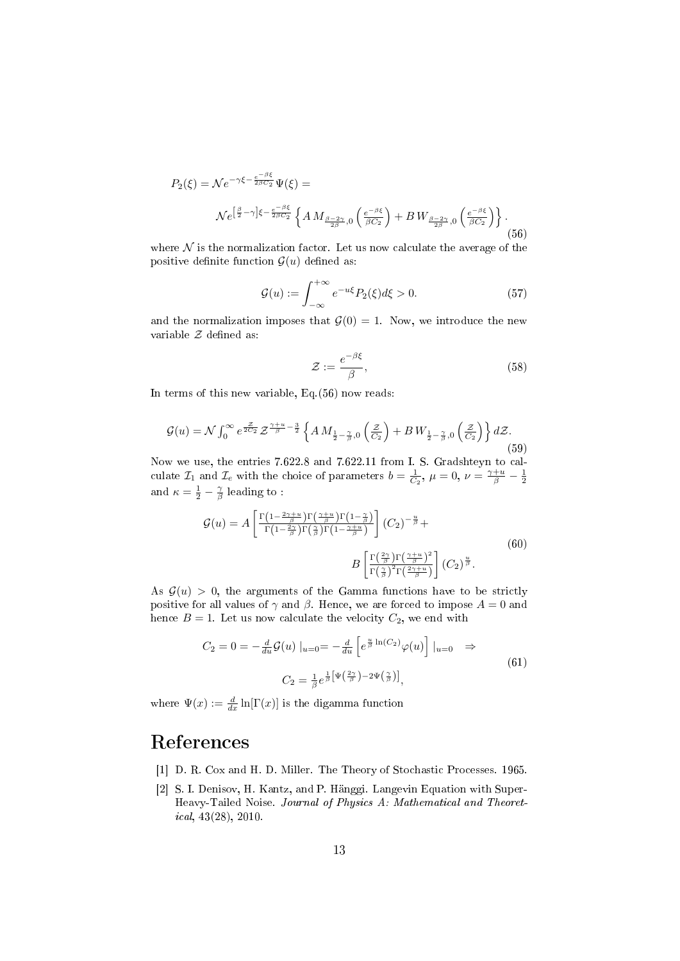$$
P_2(\xi) = \mathcal{N}e^{-\gamma\xi - \frac{e^{-\beta\xi}}{2\beta C_2}}\Psi(\xi) =
$$
  

$$
\mathcal{N}e^{\left[\frac{\beta}{2}-\gamma\right]\xi - \frac{e^{-\beta\xi}}{2\beta C_2}}\left\{AM_{\frac{\beta-2\gamma}{2\beta},0}\left(\frac{e^{-\beta\xi}}{\beta C_2}\right) + BW_{\frac{\beta-2\gamma}{2\beta},0}\left(\frac{e^{-\beta\xi}}{\beta C_2}\right)\right\}.
$$
(56)

where  $N$  is the normalization factor. Let us now calculate the average of the positive definite function  $\mathcal{G}(u)$  defined as:

$$
\mathcal{G}(u) := \int_{-\infty}^{+\infty} e^{-u\xi} P_2(\xi) d\xi > 0.
$$
 (57)

and the normalization imposes that  $G(0) = 1$ . Now, we introduce the new variable  $Z$  defined as:

$$
\mathcal{Z} := \frac{e^{-\beta \xi}}{\beta},\tag{58}
$$

In terms of this new variable, Eq.(56) now reads:

$$
\mathcal{G}(u) = \mathcal{N} \int_0^\infty e^{\frac{z}{2C_2}} \mathcal{Z}^{\frac{\gamma + u}{\beta} - \frac{3}{2}} \left\{ A M_{\frac{1}{2} - \frac{\gamma}{\beta}, 0} \left( \frac{\mathcal{Z}}{C_2} \right) + B W_{\frac{1}{2} - \frac{\gamma}{\beta}, 0} \left( \frac{\mathcal{Z}}{C_2} \right) \right\} d\mathcal{Z}.
$$
\n(59)

Now we use, the entries 7.622.8 and 7.622.11 from I. S. Gradshteyn to calculate  $\mathcal{I}_1$  and  $\mathcal{I}_e$  with the choice of parameters  $b = \frac{1}{C_2}$ ,  $\mu = 0$ ,  $\nu = \frac{\gamma + u}{\beta} - \frac{1}{2}$ and  $\kappa = \frac{1}{2} - \frac{\gamma}{\beta}$  leading to :

$$
\mathcal{G}(u) = A \left[ \frac{\Gamma\left(1 - \frac{2\gamma + u}{\beta}\right)\Gamma\left(\frac{\gamma + u}{\beta}\right)\Gamma\left(1 - \frac{\gamma}{\beta}\right)}{\Gamma\left(1 - \frac{2\gamma}{\beta}\right)\Gamma\left(\frac{\gamma}{\beta}\right)\Gamma\left(1 - \frac{\gamma + u}{\beta}\right)} \right] (C_2)^{-\frac{u}{\beta}} +
$$
\n
$$
B \left[ \frac{\Gamma\left(\frac{2\gamma}{\beta}\right)\Gamma\left(\frac{\gamma + u}{\beta}\right)^2}{\Gamma\left(\frac{\gamma}{\beta}\right)^2 \Gamma\left(\frac{2\gamma + u}{\beta}\right)} \right] (C_2)^{\frac{u}{\beta}}.
$$
\n(60)

As  $\mathcal{G}(u) > 0$ , the arguments of the Gamma functions have to be strictly positive for all values of  $\gamma$  and  $\beta$ . Hence, we are forced to impose  $A = 0$  and hence  $B = 1$ . Let us now calculate the velocity  $C_2$ , we end with

$$
C_2 = 0 = -\frac{d}{du}\mathcal{G}(u) \big|_{u=0} = -\frac{d}{du}\left[e^{\frac{u}{\beta}\ln(C_2)}\varphi(u)\right] \big|_{u=0} \quad \Rightarrow
$$
  

$$
C_2 = \frac{1}{\beta}e^{\frac{1}{\beta}\left[\Psi\left(\frac{2\gamma}{\beta}\right) - 2\Psi\left(\frac{\gamma}{\beta}\right)\right]},
$$
 (61)

where  $\Psi(x) := \frac{d}{dx} \ln[\Gamma(x)]$  is the digamma function

## References

- [1] D. R. Cox and H. D. Miller. The Theory of Stochastic Processes. 1965.
- [2] S. I. Denisov, H. Kantz, and P. Hänggi. Langevin Equation with Super-Heavy-Tailed Noise. Journal of Physics A: Mathematical and Theoretical, 43(28), 2010.